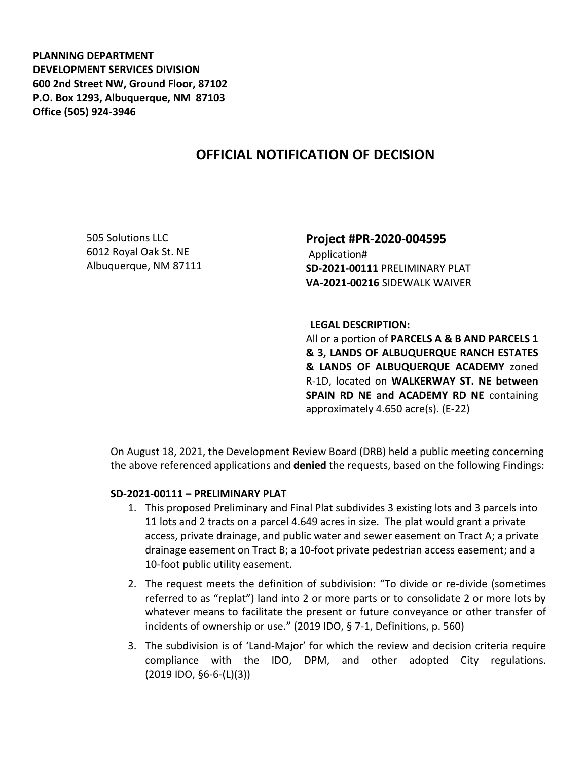**PLANNING DEPARTMENT DEVELOPMENT SERVICES DIVISION 600 2nd Street NW, Ground Floor, 87102 P.O. Box 1293, Albuquerque, NM 87103 Office (505) 924-3946** 

## **OFFICIAL NOTIFICATION OF DECISION**

505 Solutions LLC 6012 Royal Oak St. NE Albuquerque, NM 87111 **Project #PR-2020-004595** Application# **SD-2021-00111** PRELIMINARY PLAT **VA-2021-00216** SIDEWALK WAIVER

**LEGAL DESCRIPTION:**

All or a portion of **PARCELS A & B AND PARCELS 1 & 3, LANDS OF ALBUQUERQUE RANCH ESTATES & LANDS OF ALBUQUERQUE ACADEMY** zoned R-1D, located on **WALKERWAY ST. NE between SPAIN RD NE and ACADEMY RD NE** containing approximately 4.650 acre(s). (E-22)

On August 18, 2021, the Development Review Board (DRB) held a public meeting concerning the above referenced applications and **denied** the requests, based on the following Findings:

## **SD-2021-00111 – PRELIMINARY PLAT**

- 1. This proposed Preliminary and Final Plat subdivides 3 existing lots and 3 parcels into 11 lots and 2 tracts on a parcel 4.649 acres in size. The plat would grant a private access, private drainage, and public water and sewer easement on Tract A; a private drainage easement on Tract B; a 10-foot private pedestrian access easement; and a 10-foot public utility easement.
- 2. The request meets the definition of subdivision: "To divide or re-divide (sometimes referred to as "replat") land into 2 or more parts or to consolidate 2 or more lots by whatever means to facilitate the present or future conveyance or other transfer of incidents of ownership or use." (2019 IDO, § 7-1, Definitions, p. 560)
- 3. The subdivision is of 'Land-Major' for which the review and decision criteria require compliance with the IDO, DPM, and other adopted City regulations. (2019 IDO, §6-6-(L)(3))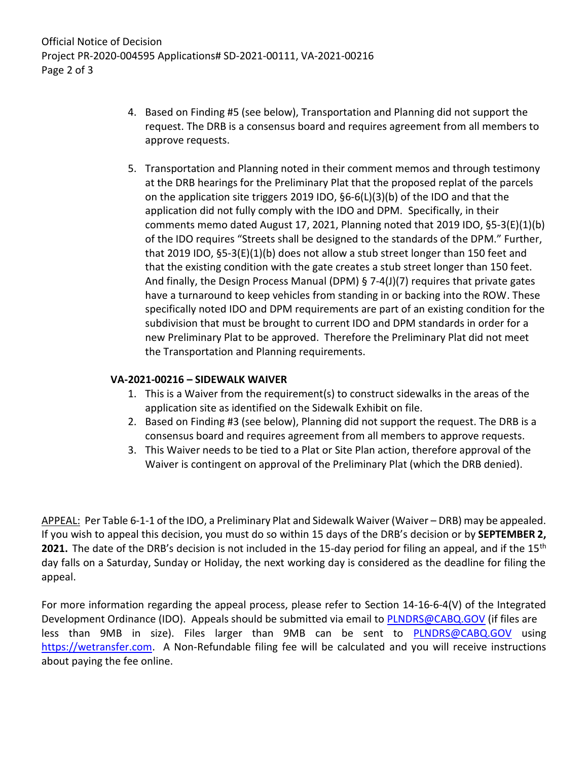- 4. Based on Finding #5 (see below), Transportation and Planning did not support the request. The DRB is a consensus board and requires agreement from all members to approve requests.
- 5. Transportation and Planning noted in their comment memos and through testimony at the DRB hearings for the Preliminary Plat that the proposed replat of the parcels on the application site triggers 2019 IDO, §6-6(L)(3)(b) of the IDO and that the application did not fully comply with the IDO and DPM. Specifically, in their comments memo dated August 17, 2021, Planning noted that 2019 IDO, §5-3(E)(1)(b) of the IDO requires "Streets shall be designed to the standards of the DPM." Further, that 2019 IDO, §5-3(E)(1)(b) does not allow a stub street longer than 150 feet and that the existing condition with the gate creates a stub street longer than 150 feet. And finally, the Design Process Manual (DPM) § 7-4(J)(7) requires that private gates have a turnaround to keep vehicles from standing in or backing into the ROW. These specifically noted IDO and DPM requirements are part of an existing condition for the subdivision that must be brought to current IDO and DPM standards in order for a new Preliminary Plat to be approved. Therefore the Preliminary Plat did not meet the Transportation and Planning requirements.

## **VA-2021-00216 – SIDEWALK WAIVER**

- 1. This is a Waiver from the requirement(s) to construct sidewalks in the areas of the application site as identified on the Sidewalk Exhibit on file.
- 2. Based on Finding #3 (see below), Planning did not support the request. The DRB is a consensus board and requires agreement from all members to approve requests.
- 3. This Waiver needs to be tied to a Plat or Site Plan action, therefore approval of the Waiver is contingent on approval of the Preliminary Plat (which the DRB denied).

APPEAL: Per Table 6-1-1 of the IDO, a Preliminary Plat and Sidewalk Waiver (Waiver – DRB) may be appealed. If you wish to appeal this decision, you must do so within 15 days of the DRB's decision or by **SEPTEMBER 2, 2021.** The date of the DRB's decision is not included in the 15-day period for filing an appeal, and if the 15<sup>th</sup> day falls on a Saturday, Sunday or Holiday, the next working day is considered as the deadline for filing the appeal.

For more information regarding the appeal process, please refer to Section 14-16-6-4(V) of the Integrated Development Ordinance (IDO). Appeals should be submitted via email to **PLNDRS@CABQ.GOV** (if files are less than 9MB in size). Files larger than 9MB can be sent to **[PLNDRS@CABQ.GOV](mailto:PLNDRS@CABQ.GOV)** using [https://wetransfer.com.](https://wetransfer.com/) A Non-Refundable filing fee will be calculated and you will receive instructions about paying the fee online.